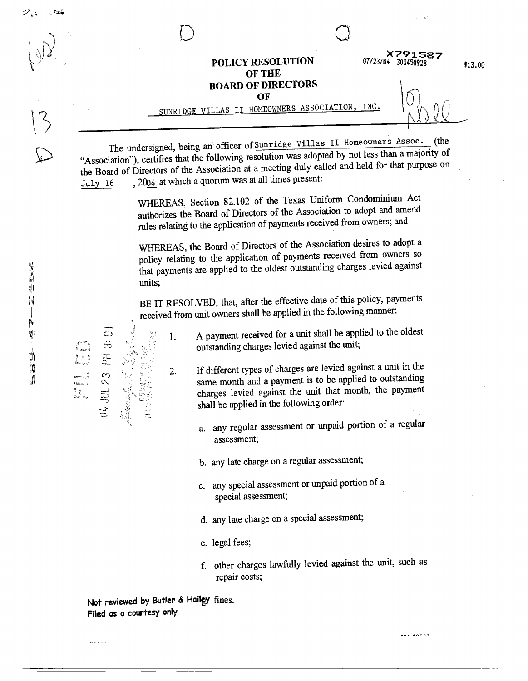where  $\mathcal{L}$  and  $\mathcal{L}$ \*\*\*\*1587<br>07/23/04 300450928 POLICY RESOLUTION OF THE BOARD OF DIRECTORS  $\overline{\text{OF}}$  . The set of  $\overline{\text{F}}$ 

SUNRIDGE VILLAS II HOMEOWNERS ASSOCIATION, INC.  $\left\{ \left\vert \left\langle \cdot ,\cdot \right\rangle \right\vert \right\}$ 

The undersigned, being an' officer of Sunridge Villas II Homeowners Assoc. (the "Association"), certifies that the following resolution was adopted by not less than a majority of the Board of Directors of the Association at a meeting duly called and held for that purpose on July 16 , 2004 at which a quorum was at all times present:

> WHEREAS, Section 82.102 of the Texas Uniform Condominium Act authorizes the Board of Directors of the Association to adopt and amend rules relating to the application of payments received from owners;, and

> WHEREAS, the Board of Directors of the Association desires to adopt a policy relating to the application of payments received from owners so that payments are applied to the oldest outstanding charges levied against units;

> BE IT RESOLVED, that, after the effective date of this policy, payments received from unit owners shall be applied in the following manner:

1. A payment received for a unit shall be applied to the oldest  $\overrightarrow{a}$   $\overrightarrow{b}$   $\overrightarrow{c}$  1. A payment received for a unit shall be appl<br>outstanding charges levied against the unit;<br> $\overrightarrow{c}$   $\overrightarrow{b}$ 

- $\begin{array}{rcl}\n\therefore \\
\hline\n\end{array}$  2. If different types of charges are levied against a unit in the same month and a payment is to be applied to outstanding charges levied against the unit that month, the payment shall be applied  $\frac{1}{2}$   $\frac{1}{2}$   $\frac{1}{2}$   $\frac{1}{2}$  same month and a payment is to be applied to outstanding charges levied against the unit that month, the payment charges levied against the unit that month, the payment shall be applied in the following order:
	- a. any regular assessment or unpaid portion of a regular assessment;
	- b. any late charge on a regular assessment;
	- c. any special assessment or unpaid portion of a special assessment;
	- d. any late charge on a special assessment;
	- e. legal fees;
	- f. other charges lawfully levied against the unit, such as repair costs;

Not reviewed by Butler & Hailey fines. Filed as a courtesy only

. . . . .

 $\mathcal{L}_{\mathcal{L}}$ 

<u>v x x</u>

€13. tRi

 $\mathscr{D}_{\mathcal{A}^{\mathcal{B}}}$  , and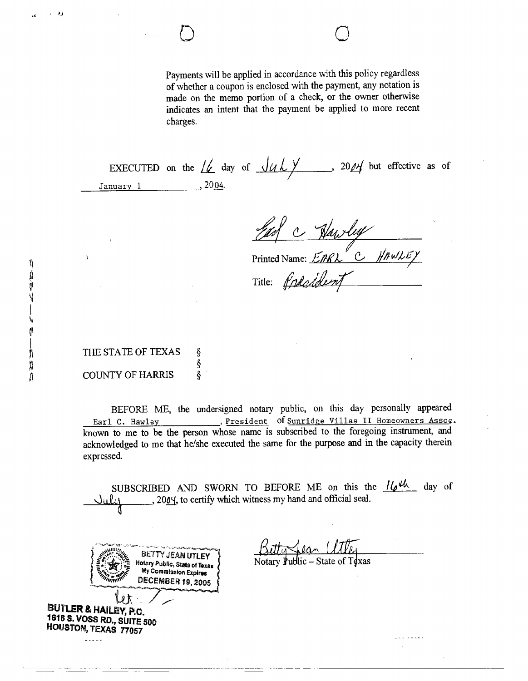Payments will be applied in accordance with this policy regardless of whether a coupon is enclosed with the payment, any notation is made on the memo portion of a check, or the owner otherwise indicates an intent that the payment be applied to more recent charges.

EXECUTED on the  $\frac{1}{2}$  day of  $\frac{1}{4}$   $\frac{1}{20}$  20 $\frac{1}{4}$  but effective as of January 1 , 2004.

Harry C Narry<br>Printed Name: EARL C HAWLEY

Title: freaddent

THE STATE OF TEXAS § §<br>COUNTY OF HARRIS **§** 

> $My$  Commission Expires DECEMBER 19, 2005

BEFORE ME, the undersigned notary public, on this day personally appeared Earl C. Hawley , President of Sunridge Villas II Homeowners Assoc. known to me to be the person whose name is subscribed to the foregoing instrument, and acknowledged to me that he/she executed the same for the purpose and in the capacity therein expressed.

SUBSCRIBED AND SWORN TO BEFORE ME on this the  $16^{4h}$  day of 2004, to certify which witness my hand and official seal.

 $\sqrt{4}$ lan

 $\overline{z}$  .  $\overline{z}$ 

BETTY JEAN UTLEY WELL WARE NOTICED NOTATION PubLic – State of Toxas

 $Mr \sim$  $\sim$ liter & Hailey, p.c. 1616 S. VOSS RD., SUITE 500 HOUSTON, TEXAS 77057

 $\cdot$  ,  $\cdot$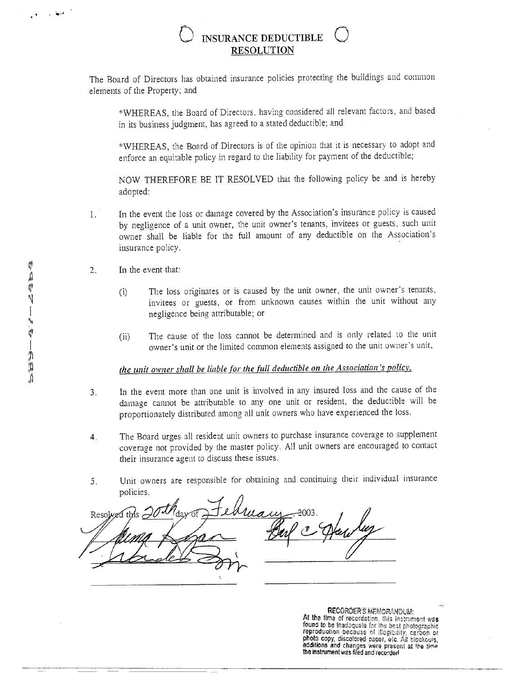## **INSURANCE DEDUCTIBLE RESOLUTION**

The Board of Directors has obtained insurance policies protecting the buildings and common elements of the Property; and

\*WHEREAS, the Board of Directors, having considered all relevant factors, and based in its business judgment, has agreed to a stated deductible; and

\*WHEREAS, the Board of Directors is of the opinion that it is necessary to adopt and enforce an equitable policy in regard to the liability for payment of the deductible;

NOW THEREFORE BE IT RESOLVED that the following policy be and is hereby adopted:

- In the event the loss or damage covered by the Association's insurance policy is caused  $1.$ by negligence of a unit owner, the unit owner's tenants, invitees or guests, such unit owner shall be liable for the full amount of any deductible on the Association's insurance policy.
- In the event that:  $2.$ 
	- The loss originates or is caused by the unit owner, the unit owner's tenants,  $(i)$ invitees or guests, or from unknown causes within the unit without any negligence being attributable; or
	- The cause of the loss cannot be determined and is only related to the unit  $(ii)$ owner's unit or the limited common elements assigned to the unit owner's unit,

## the unit owner shall be liable for the full deductible on the Association's policy.

- In the event more than one unit is involved in any insured loss and the cause of the  $3.$ damage cannot be attributable to any one unit or resident, the deductible will be proportionately distributed among all unit owners who have experienced the loss.
- The Board urges all resident unit owners to purchase insurance coverage to supplement  $4<sub>1</sub>$ coverage not provided by the master policy. All unit owners are encouraged to contact their insurance agent to discuss these issues.
- Unit owners are responsible for obtaining and continuing their individual insurance  $5<sub>1</sub>$ policies.

Resol

**RECORDER'S MEMORANDUM:** At the time of recordation, this instrument was found to be inadaquate for the best photographic reproduction because of illegibility, carbon or<br>photo copy, discolored paper, etc. All biockouts, additions and changes were present at the time<br>the instrument was filed and recorded